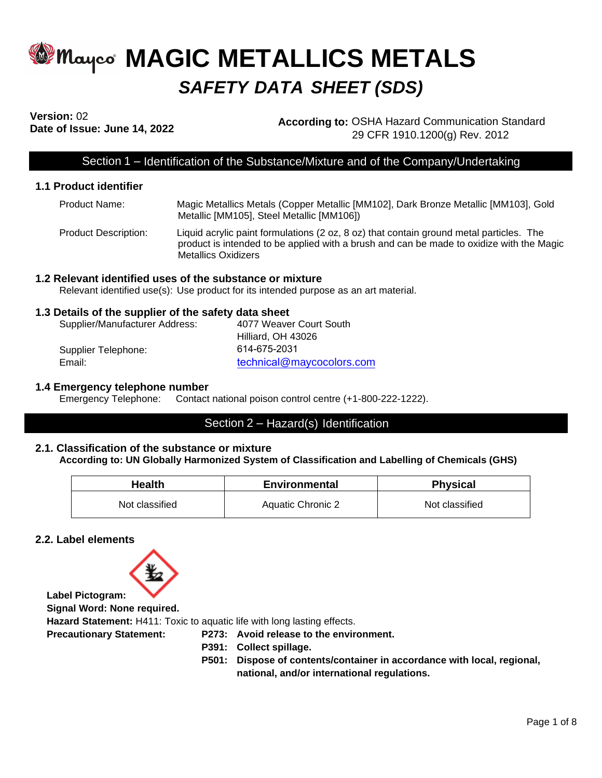# **MAGIC METALLICS METALS** *SAFETY DATA SHEET (SDS)*

# **Version:** 02

**Date of Issue: June 14, 2022 According to:** OSHA Hazard Communication Standard 29 CFR 1910.1200(g) Rev. 2012

# Section 1 – Identification of the Substance/Mixture and of the Company/Undertaking

## **1.1 Product identifier**

| Product Name:        | Magic Metallics Metals (Copper Metallic [MM102], Dark Bronze Metallic [MM103], Gold<br>Metallic [MM105], Steel Metallic [MM106])                                                                           |
|----------------------|------------------------------------------------------------------------------------------------------------------------------------------------------------------------------------------------------------|
| Product Description: | Liquid acrylic paint formulations (2 oz, 8 oz) that contain ground metal particles. The<br>product is intended to be applied with a brush and can be made to oxidize with the Magic<br>Metallics Oxidizers |

## **1.2 Relevant identified uses of the substance or mixture**

Relevant identified use(s): Use product for its intended purpose as an art material.

## **1.3 Details of the supplier of the safety data sheet**

| Supplier/Manufacturer Address: | 4077 Weaver Court South   |
|--------------------------------|---------------------------|
|                                | Hilliard, OH 43026        |
| Supplier Telephone:            | 614-675-2031              |
| Email:                         | technical@maycocolors.com |

## **1.4 Emergency telephone number**

Emergency Telephone: Contact national poison control centre (+1-800-222-1222).

# Section 2 – Hazard(s) Identification

## **2.1. Classification of the substance or mixture According to: UN Globally Harmonized System of Classification and Labelling of Chemicals (GHS)**

| <b>Health</b>  | Environmental     | <b>Physical</b> |
|----------------|-------------------|-----------------|
| Not classified | Aquatic Chronic 2 | Not classified  |

# **2.2. Label elements**



**Signal Word: None required.**

**Hazard Statement:** H411: Toxic to aquatic life with long lasting effects.

**Precautionary Statement: P273: Avoid release to the environment.**

- **P391: Collect spillage.**
- **P501: Dispose of contents/container in accordance with local, regional, national, and/or international regulations.**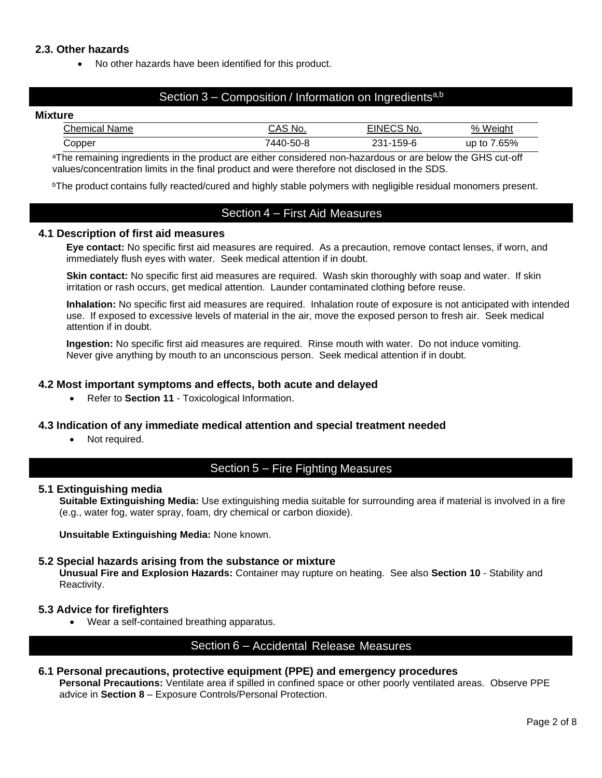# **2.3. Other hazards**

• No other hazards have been identified for this product.

# Section 3 – Composition / Information on Ingredients<sup>a,b</sup>

#### **Mixture**

| ∶hemica<br>Name<br>udi. | NO.<br>™~      | $- \cdot \cdot$<br>No. | $\frac{1}{2}$<br>Weight |
|-------------------------|----------------|------------------------|-------------------------|
| ۔opper                  | ΄44<br>א-טרי-ט | $159 - F$<br>.<br>ບປ   | .65%<br>up<br>to        |

<sup>a</sup>The remaining ingredients in the product are either considered non-hazardous or are below the GHS cut-off values/concentration limits in the final product and were therefore not disclosed in the SDS.

<sup>b</sup>The product contains fully reacted/cured and highly stable polymers with negligible residual monomers present.

# Section 4 – First Aid Measures

## **4.1 Description of first aid measures**

**Eye contact:** No specific first aid measures are required. As a precaution, remove contact lenses, if worn, and immediately flush eyes with water. Seek medical attention if in doubt.

**Skin contact:** No specific first aid measures are required. Wash skin thoroughly with soap and water. If skin irritation or rash occurs, get medical attention. Launder contaminated clothing before reuse.

**Inhalation:** No specific first aid measures are required. Inhalation route of exposure is not anticipated with intended use. If exposed to excessive levels of material in the air, move the exposed person to fresh air. Seek medical attention if in doubt.

**Ingestion:** No specific first aid measures are required. Rinse mouth with water. Do not induce vomiting. Never give anything by mouth to an unconscious person. Seek medical attention if in doubt.

## **4.2 Most important symptoms and effects, both acute and delayed**

• Refer to **Section 11** - Toxicological Information.

## **4.3 Indication of any immediate medical attention and special treatment needed**

Not required.

# Section 5 – Fire Fighting Measures

## **5.1 Extinguishing media**

**Suitable Extinguishing Media:** Use extinguishing media suitable for surrounding area if material is involved in a fire (e.g., water fog, water spray, foam, dry chemical or carbon dioxide).

**Unsuitable Extinguishing Media:** None known.

# **5.2 Special hazards arising from the substance or mixture**

**Unusual Fire and Explosion Hazards:** Container may rupture on heating. See also **Section 10** - Stability and Reactivity.

# **5.3 Advice for firefighters**

• Wear a self-contained breathing apparatus.

# Section 6 – Accidental Release Measures

# **6.1 Personal precautions, protective equipment (PPE) and emergency procedures**

**Personal Precautions:** Ventilate area if spilled in confined space or other poorly ventilated areas. Observe PPE advice in **Section 8** – Exposure Controls/Personal Protection.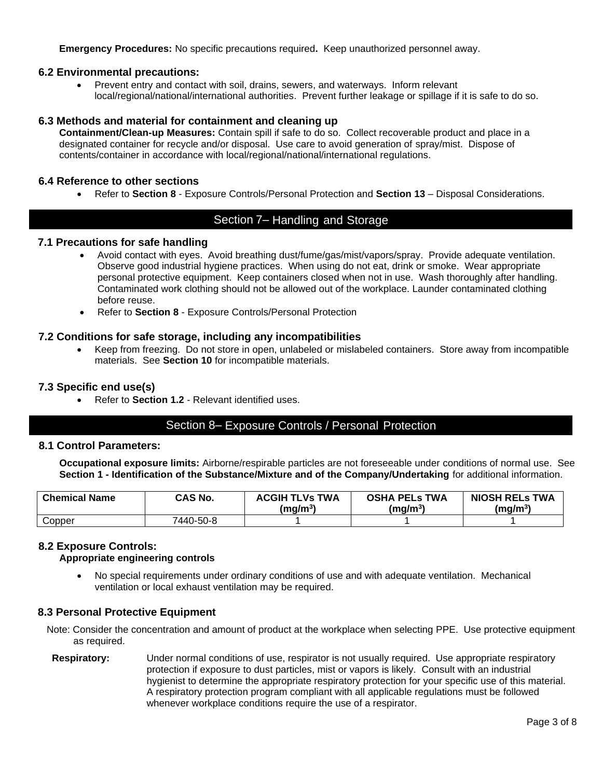**Emergency Procedures:** No specific precautions required**.** Keep unauthorized personnel away.

## **6.2 Environmental precautions:**

• Prevent entry and contact with soil, drains, sewers, and waterways. Inform relevant local/regional/national/international authorities. Prevent further leakage or spillage if it is safe to do so.

## **6.3 Methods and material for containment and cleaning up**

**Containment/Clean-up Measures:** Contain spill if safe to do so. Collect recoverable product and place in a designated container for recycle and/or disposal. Use care to avoid generation of spray/mist. Dispose of contents/container in accordance with local/regional/national/international regulations.

## **6.4 Reference to other sections**

• Refer to **Section 8** - Exposure Controls/Personal Protection and **Section 13** – Disposal Considerations.

# Section 7– Handling and Storage

## **7.1 Precautions for safe handling**

- Avoid contact with eyes. Avoid breathing dust/fume/gas/mist/vapors/spray. Provide adequate ventilation. Observe good industrial hygiene practices. When using do not eat, drink or smoke. Wear appropriate personal protective equipment. Keep containers closed when not in use. Wash thoroughly after handling. Contaminated work clothing should not be allowed out of the workplace. Launder contaminated clothing before reuse.
- Refer to **Section 8** Exposure Controls/Personal Protection

## **7.2 Conditions for safe storage, including any incompatibilities**

• Keep from freezing. Do not store in open, unlabeled or mislabeled containers. Store away from incompatible materials. See **Section 10** for incompatible materials.

## **7.3 Specific end use(s)**

• Refer to **Section 1.2** - Relevant identified uses.

## Section 8– Exposure Controls / Personal Protection

## **8.1 Control Parameters:**

**Occupational exposure limits:** Airborne/respirable particles are not foreseeable under conditions of normal use. See **Section 1 - Identification of the Substance/Mixture and of the Company/Undertaking** for additional information.

| <b>Chemical Name</b> | <b>CAS No.</b> | <b>ACGIH TLVs TWA</b><br>(mq/m <sup>3</sup> ) | <b>OSHA PELS TWA</b><br>(mq/m <sup>3</sup> ) | <b>NIOSH RELS TWA</b><br>(mq/m <sup>3</sup> ) |
|----------------------|----------------|-----------------------------------------------|----------------------------------------------|-----------------------------------------------|
| Copper               | 7440-50-8      |                                               |                                              |                                               |

## **8.2 Exposure Controls:**

## **Appropriate engineering controls**

• No special requirements under ordinary conditions of use and with adequate ventilation. Mechanical ventilation or local exhaust ventilation may be required.

## **8.3 Personal Protective Equipment**

Note: Consider the concentration and amount of product at the workplace when selecting PPE. Use protective equipment as required.

**Respiratory:** Under normal conditions of use, respirator is not usually required. Use appropriate respiratory protection if exposure to dust particles, mist or vapors is likely. Consult with an industrial hygienist to determine the appropriate respiratory protection for your specific use of this material. A respiratory protection program compliant with all applicable regulations must be followed whenever workplace conditions require the use of a respirator.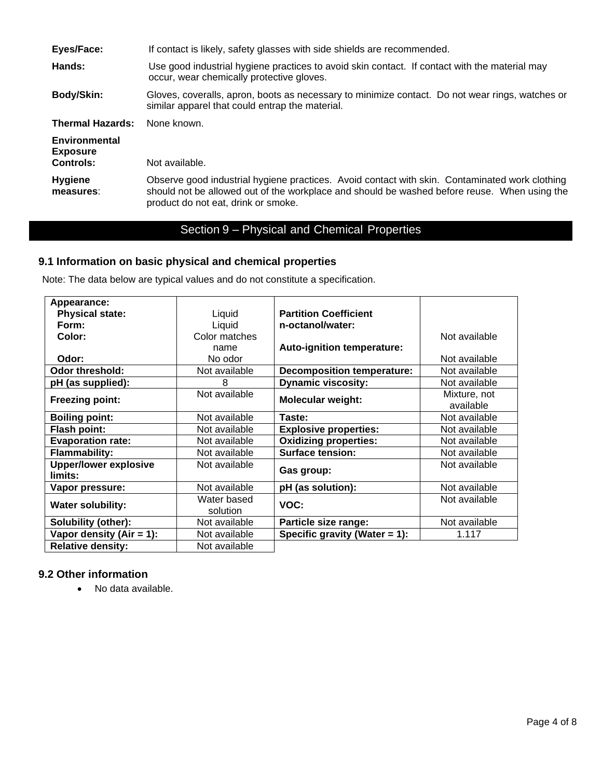| Eyes/Face:                                           | If contact is likely, safety glasses with side shields are recommended.                                                                                                                                                               |
|------------------------------------------------------|---------------------------------------------------------------------------------------------------------------------------------------------------------------------------------------------------------------------------------------|
| Hands:                                               | Use good industrial hygiene practices to avoid skin contact. If contact with the material may<br>occur, wear chemically protective gloves.                                                                                            |
| <b>Body/Skin:</b>                                    | Gloves, coveralls, apron, boots as necessary to minimize contact. Do not wear rings, watches or<br>similar apparel that could entrap the material.                                                                                    |
| <b>Thermal Hazards:</b>                              | None known.                                                                                                                                                                                                                           |
| Environmental<br><b>Exposure</b><br><b>Controls:</b> | Not available.                                                                                                                                                                                                                        |
| <b>Hygiene</b><br>measures:                          | Observe good industrial hygiene practices. Avoid contact with skin. Contaminated work clothing<br>should not be allowed out of the workplace and should be washed before reuse. When using the<br>product do not eat, drink or smoke. |

# Section 9 – Physical and Chemical Properties

# **9.1 Information on basic physical and chemical properties**

Note: The data below are typical values and do not constitute a specification.

| Appearance:                  |               |                                   |               |
|------------------------------|---------------|-----------------------------------|---------------|
| <b>Physical state:</b>       | Liquid        | <b>Partition Coefficient</b>      |               |
| Form:                        | Liquid        | n-octanol/water:                  |               |
| Color:                       | Color matches |                                   | Not available |
|                              | name          | Auto-ignition temperature:        |               |
| Odor:                        | No odor       |                                   | Not available |
| Odor threshold:              | Not available | <b>Decomposition temperature:</b> | Not available |
| pH (as supplied):            | 8             | <b>Dynamic viscosity:</b>         | Not available |
| <b>Freezing point:</b>       | Not available | <b>Molecular weight:</b>          | Mixture, not  |
|                              |               |                                   | available     |
| <b>Boiling point:</b>        | Not available | Taste:                            | Not available |
| <b>Flash point:</b>          | Not available | <b>Explosive properties:</b>      | Not available |
| <b>Evaporation rate:</b>     | Not available | <b>Oxidizing properties:</b>      | Not available |
| <b>Flammability:</b>         | Not available | <b>Surface tension:</b>           | Not available |
| <b>Upper/lower explosive</b> | Not available | Gas group:                        | Not available |
| limits:                      |               |                                   |               |
| Vapor pressure:              | Not available | pH (as solution):                 | Not available |
| <b>Water solubility:</b>     | Water based   | VOC:                              | Not available |
|                              | solution      |                                   |               |
| Solubility (other):          | Not available | Particle size range:              | Not available |
| Vapor density $(Air = 1)$ :  | Not available | Specific gravity (Water $= 1$ ):  | 1.117         |
| <b>Relative density:</b>     | Not available |                                   |               |

# **9.2 Other information**

• No data available.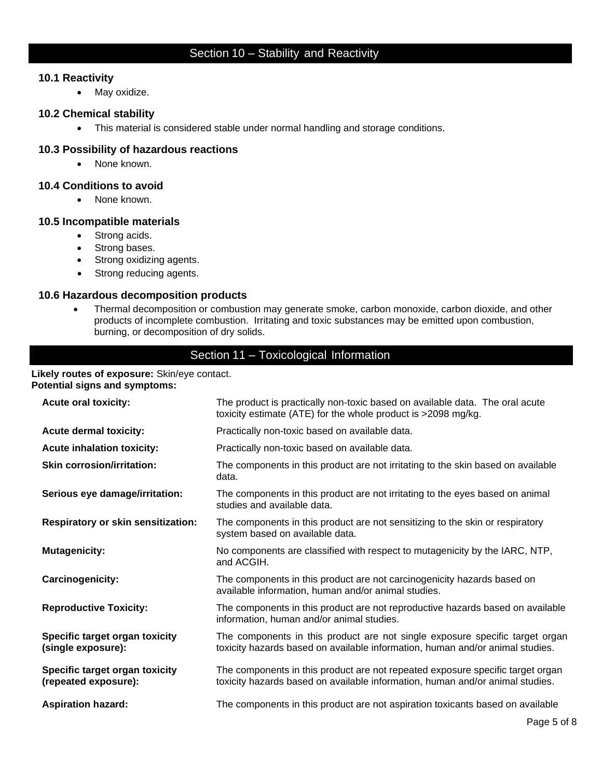# Section 10 – Stability and Reactivity

# **10.1 Reactivity**

• May oxidize.

## **10.2 Chemical stability**

• This material is considered stable under normal handling and storage conditions.

## **10.3 Possibility of hazardous reactions**

• None known.

# **10.4 Conditions to avoid**

• None known.

## **10.5 Incompatible materials**

- Strong acids.
- Strong bases.
- Strong oxidizing agents.
- Strong reducing agents.

## **10.6 Hazardous decomposition products**

• Thermal decomposition or combustion may generate smoke, carbon monoxide, carbon dioxide, and other products of incomplete combustion. Irritating and toxic substances may be emitted upon combustion, burning, or decomposition of dry solids.

# Section 11 – Toxicological Information

#### **Likely routes of exposure:** Skin/eye contact. **Potential signs and symptoms:**

| <b>Acute oral toxicity:</b>                            | The product is practically non-toxic based on available data. The oral acute<br>toxicity estimate (ATE) for the whole product is >2098 mg/kg.                   |  |
|--------------------------------------------------------|-----------------------------------------------------------------------------------------------------------------------------------------------------------------|--|
| <b>Acute dermal toxicity:</b>                          | Practically non-toxic based on available data.                                                                                                                  |  |
| <b>Acute inhalation toxicity:</b>                      | Practically non-toxic based on available data.                                                                                                                  |  |
| <b>Skin corrosion/irritation:</b>                      | The components in this product are not irritating to the skin based on available<br>data.                                                                       |  |
| Serious eye damage/irritation:                         | The components in this product are not irritating to the eyes based on animal<br>studies and available data.                                                    |  |
| <b>Respiratory or skin sensitization:</b>              | The components in this product are not sensitizing to the skin or respiratory<br>system based on available data.                                                |  |
| <b>Mutagenicity:</b>                                   | No components are classified with respect to mutagenicity by the IARC, NTP,<br>and ACGIH.                                                                       |  |
| <b>Carcinogenicity:</b>                                | The components in this product are not carcinogenicity hazards based on<br>available information, human and/or animal studies.                                  |  |
| <b>Reproductive Toxicity:</b>                          | The components in this product are not reproductive hazards based on available<br>information, human and/or animal studies.                                     |  |
| Specific target organ toxicity<br>(single exposure):   | The components in this product are not single exposure specific target organ<br>toxicity hazards based on available information, human and/or animal studies.   |  |
| Specific target organ toxicity<br>(repeated exposure): | The components in this product are not repeated exposure specific target organ<br>toxicity hazards based on available information, human and/or animal studies. |  |
| <b>Aspiration hazard:</b>                              | The components in this product are not aspiration toxicants based on available                                                                                  |  |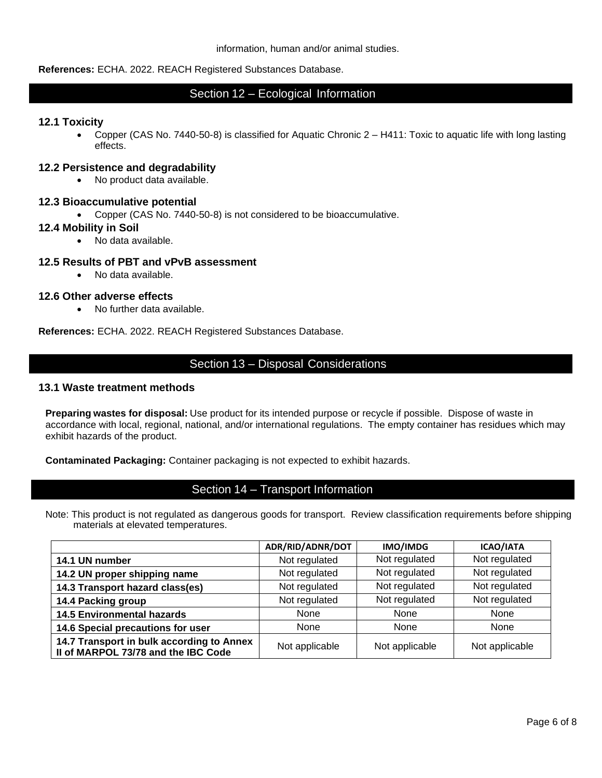## **References:** ECHA. 2022. REACH Registered Substances Database.

# Section 12 – Ecological Information

## **12.1 Toxicity**

• Copper (CAS No. 7440-50-8) is classified for Aquatic Chronic 2 – H411: Toxic to aquatic life with long lasting effects.

## **12.2 Persistence and degradability**

• No product data available.

## **12.3 Bioaccumulative potential**

• Copper (CAS No. 7440-50-8) is not considered to be bioaccumulative.

## **12.4 Mobility in Soil**

• No data available.

## **12.5 Results of PBT and vPvB assessment**

• No data available.

## **12.6 Other adverse effects**

• No further data available.

**References:** ECHA. 2022. REACH Registered Substances Database.

# Section 13 – Disposal Considerations

## **13.1 Waste treatment methods**

**Preparing wastes for disposal:** Use product for its intended purpose or recycle if possible. Dispose of waste in accordance with local, regional, national, and/or international regulations. The empty container has residues which may exhibit hazards of the product.

**Contaminated Packaging:** Container packaging is not expected to exhibit hazards.

# Section 14 – Transport Information

Note: This product is not regulated as dangerous goods for transport. Review classification requirements before shipping materials at elevated temperatures.

|                                                                                  | ADR/RID/ADNR/DOT | IMO/IMDG       | <b>ICAO/IATA</b> |
|----------------------------------------------------------------------------------|------------------|----------------|------------------|
| 14.1 UN number                                                                   | Not regulated    | Not regulated  | Not regulated    |
| 14.2 UN proper shipping name                                                     | Not regulated    | Not regulated  | Not regulated    |
| 14.3 Transport hazard class(es)                                                  | Not regulated    | Not regulated  | Not regulated    |
| 14.4 Packing group                                                               | Not regulated    | Not regulated  | Not regulated    |
| <b>14.5 Environmental hazards</b>                                                | None             | <b>None</b>    | None             |
| 14.6 Special precautions for user                                                | None             | <b>None</b>    | None             |
| 14.7 Transport in bulk according to Annex<br>II of MARPOL 73/78 and the IBC Code | Not applicable   | Not applicable | Not applicable   |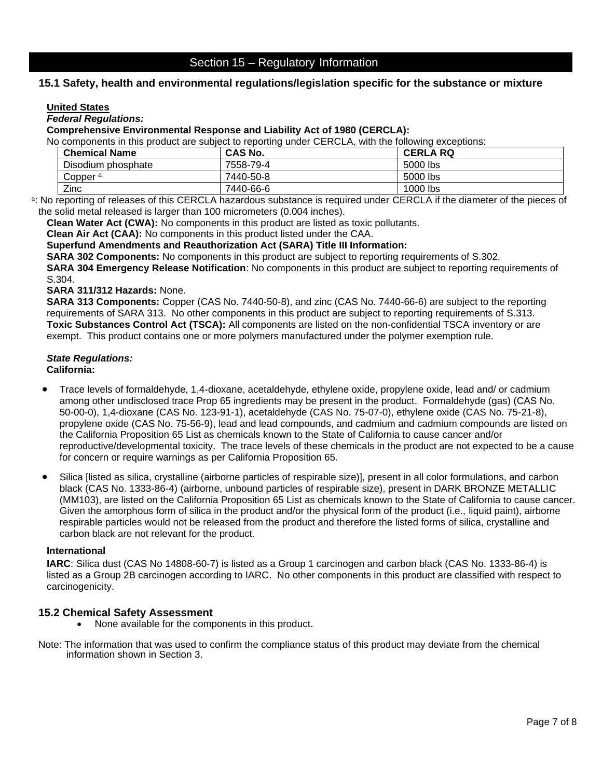# **15.1 Safety, health and environmental regulations/legislation specific for the substance or mixture**

## **United States**

## *Federal Regulations:*

### **Comprehensive Environmental Response and Liability Act of 1980 (CERCLA):**

No components in this product are subject to reporting under CERCLA, with the following exceptions:

| <b>Chemical Name</b> | <b>CAS No.</b> | <b>CERLA RQ</b> |
|----------------------|----------------|-----------------|
| Disodium phosphate   | 7558-79-4      | 5000 lbs        |
| Copper <sup>a</sup>  | 7440-50-8      | 5000 lbs        |
| Zinc                 | 7440-66-6      | 1000 lbs        |

a: No reporting of releases of this CERCLA hazardous substance is required under CERCLA if the diameter of the pieces of the solid metal released is larger than 100 micrometers (0.004 inches).

**Clean Water Act (CWA):** No components in this product are listed as toxic pollutants.

**Clean Air Act (CAA):** No components in this product listed under the CAA.

**Superfund Amendments and Reauthorization Act (SARA) Title III Information:**

**SARA 302 Components:** No components in this product are subject to reporting requirements of S.302.

**SARA 304 Emergency Release Notification**: No components in this product are subject to reporting requirements of S.304.

#### **SARA 311/312 Hazards:** None.

**SARA 313 Components:** Copper (CAS No. 7440-50-8), and zinc (CAS No. 7440-66-6) are subject to the reporting requirements of SARA 313. No other components in this product are subject to reporting requirements of S.313. **Toxic Substances Control Act (TSCA):** All components are listed on the non-confidential TSCA inventory or are exempt. This product contains one or more polymers manufactured under the polymer exemption rule.

## *State Regulations:*

**California:** 

- Trace levels of formaldehyde, 1,4-dioxane, acetaldehyde, ethylene oxide, propylene oxide, lead and/ or cadmium among other undisclosed trace Prop 65 ingredients may be present in the product. Formaldehyde (gas) (CAS No. 50-00-0), 1,4-dioxane (CAS No. 123-91-1), acetaldehyde (CAS No. 75-07-0), ethylene oxide (CAS No. 75-21-8), propylene oxide (CAS No. 75-56-9), lead and lead compounds, and cadmium and cadmium compounds are listed on the California Proposition 65 List as chemicals known to the State of California to cause cancer and/or reproductive/developmental toxicity. The trace levels of these chemicals in the product are not expected to be a cause for concern or require warnings as per California Proposition 65.
- Silica [listed as silica, crystalline (airborne particles of respirable size)], present in all color formulations, and carbon black (CAS No. 1333-86-4) (airborne, unbound particles of respirable size), present in DARK BRONZE METALLIC (MM103), are listed on the California Proposition 65 List as chemicals known to the State of California to cause cancer. Given the amorphous form of silica in the product and/or the physical form of the product (i.e., liquid paint), airborne respirable particles would not be released from the product and therefore the listed forms of silica, crystalline and carbon black are not relevant for the product.

## **International**

**IARC**: Silica dust (CAS No 14808-60-7) is listed as a Group 1 carcinogen and carbon black (CAS No. 1333-86-4) is listed as a Group 2B carcinogen according to IARC. No other components in this product are classified with respect to carcinogenicity.

## **15.2 Chemical Safety Assessment**

- None available for the components in this product.
- Note: The information that was used to confirm the compliance status of this product may deviate from the chemical information shown in Section 3.